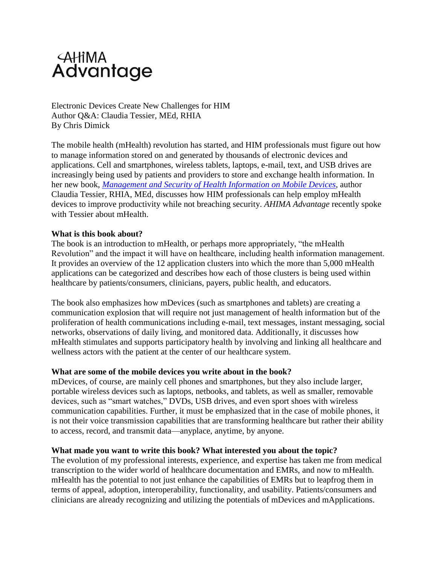# **AHIMA**<br>Advantage

Electronic Devices Create New Challenges for HIM Author Q&A: Claudia Tessier, MEd, RHIA By Chris Dimick

The mobile health (mHealth) revolution has started, and HIM professionals must figure out how to manage information stored on and generated by thousands of electronic devices and applications. Cell and smartphones, wireless tablets, laptops, e-mail, text, and USB drives are increasingly being used by patients and providers to store and exchange health information. In her new book, *[Management and Security of Health](https://www.ahimastore.org/ProductDetailBooks.aspx?ProductID=14383) Information on Mobile Devices*, author Claudia Tessier, RHIA, MEd, discusses how HIM professionals can help employ mHealth devices to improve productivity while not breaching security. *AHIMA Advantage* recently spoke with Tessier about mHealth.

# **What is this book about?**

The book is an introduction to mHealth, or perhaps more appropriately, "the mHealth Revolution" and the impact it will have on healthcare, including health information management. It provides an overview of the 12 application clusters into which the more than 5,000 mHealth applications can be categorized and describes how each of those clusters is being used within healthcare by patients/consumers, clinicians, payers, public health, and educators.

The book also emphasizes how mDevices (such as smartphones and tablets) are creating a communication explosion that will require not just management of health information but of the proliferation of health communications including e-mail, text messages, instant messaging, social networks, observations of daily living, and monitored data. Additionally, it discusses how mHealth stimulates and supports participatory health by involving and linking all healthcare and wellness actors with the patient at the center of our healthcare system.

#### **What are some of the mobile devices you write about in the book?**

mDevices, of course, are mainly cell phones and smartphones, but they also include larger, portable wireless devices such as laptops, netbooks, and tablets, as well as smaller, removable devices, such as "smart watches," DVDs, USB drives, and even sport shoes with wireless communication capabilities. Further, it must be emphasized that in the case of mobile phones, it is not their voice transmission capabilities that are transforming healthcare but rather their ability to access, record, and transmit data—anyplace, anytime, by anyone.

#### **What made you want to write this book? What interested you about the topic?**

The evolution of my professional interests, experience, and expertise has taken me from medical transcription to the wider world of healthcare documentation and EMRs, and now to mHealth. mHealth has the potential to not just enhance the capabilities of EMRs but to leapfrog them in terms of appeal, adoption, interoperability, functionality, and usability. Patients/consumers and clinicians are already recognizing and utilizing the potentials of mDevices and mApplications.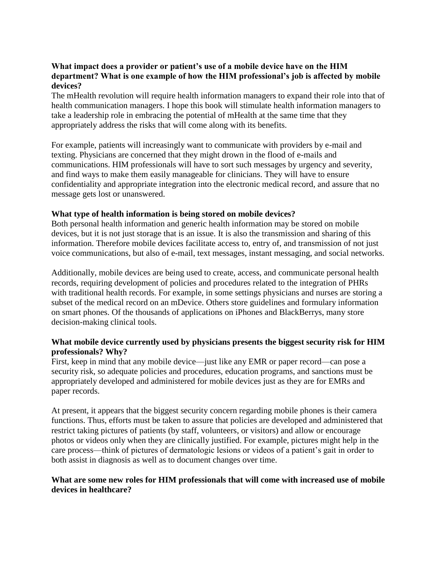# **What impact does a provider or patient's use of a mobile device have on the HIM department? What is one example of how the HIM professional's job is affected by mobile devices?**

The mHealth revolution will require health information managers to expand their role into that of health communication managers. I hope this book will stimulate health information managers to take a leadership role in embracing the potential of mHealth at the same time that they appropriately address the risks that will come along with its benefits.

For example, patients will increasingly want to communicate with providers by e-mail and texting. Physicians are concerned that they might drown in the flood of e-mails and communications. HIM professionals will have to sort such messages by urgency and severity, and find ways to make them easily manageable for clinicians. They will have to ensure confidentiality and appropriate integration into the electronic medical record, and assure that no message gets lost or unanswered.

# **What type of health information is being stored on mobile devices?**

Both personal health information and generic health information may be stored on mobile devices, but it is not just storage that is an issue. It is also the transmission and sharing of this information. Therefore mobile devices facilitate access to, entry of, and transmission of not just voice communications, but also of e-mail, text messages, instant messaging, and social networks.

Additionally, mobile devices are being used to create, access, and communicate personal health records, requiring development of policies and procedures related to the integration of PHRs with traditional health records. For example, in some settings physicians and nurses are storing a subset of the medical record on an mDevice. Others store guidelines and formulary information on smart phones. Of the thousands of applications on iPhones and BlackBerrys, many store decision-making clinical tools.

# **What mobile device currently used by physicians presents the biggest security risk for HIM professionals? Why?**

First, keep in mind that any mobile device—just like any EMR or paper record—can pose a security risk, so adequate policies and procedures, education programs, and sanctions must be appropriately developed and administered for mobile devices just as they are for EMRs and paper records.

At present, it appears that the biggest security concern regarding mobile phones is their camera functions. Thus, efforts must be taken to assure that policies are developed and administered that restrict taking pictures of patients (by staff, volunteers, or visitors) and allow or encourage photos or videos only when they are clinically justified. For example, pictures might help in the care process—think of pictures of dermatologic lesions or videos of a patient's gait in order to both assist in diagnosis as well as to document changes over time.

# **What are some new roles for HIM professionals that will come with increased use of mobile devices in healthcare?**